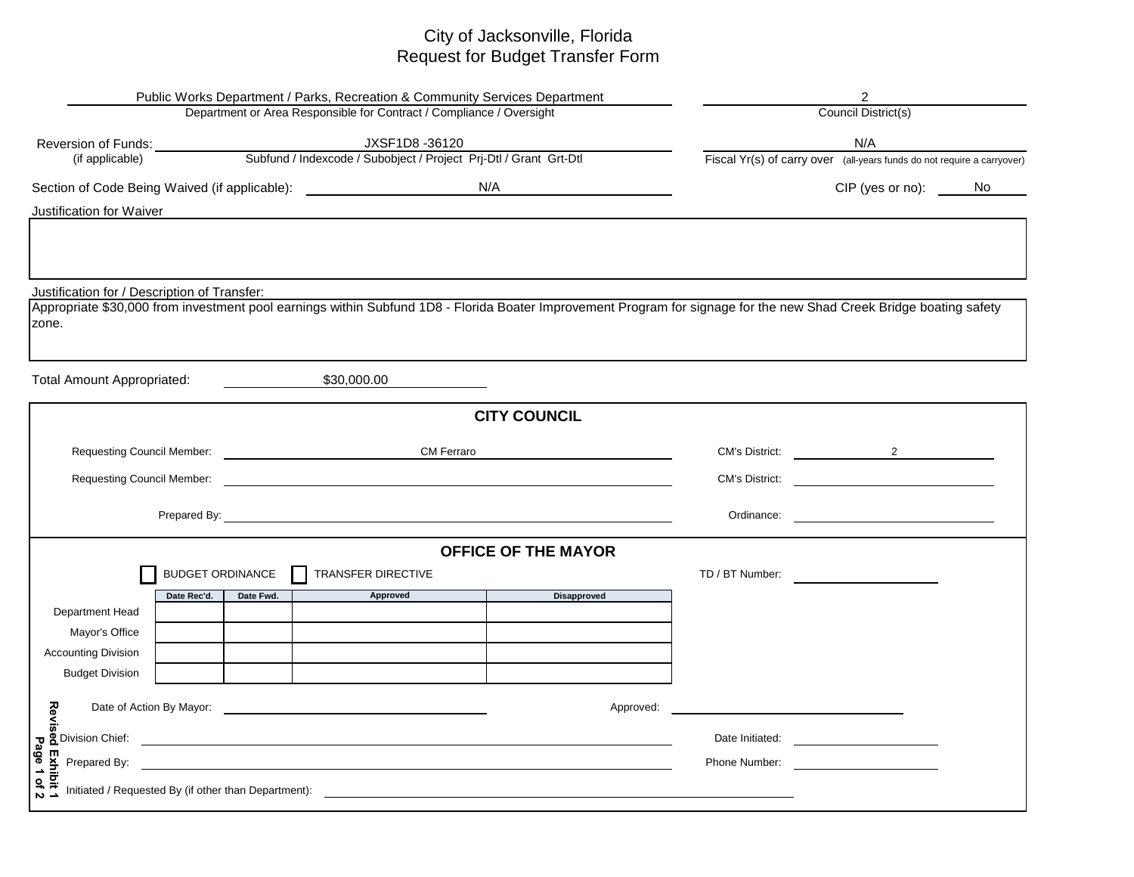## City of Jacksonville, Florida Request for Budget Transfer Form

| Public Works Department / Parks, Recreation & Community Services Department                                                                                                                                                   |                         | $\overline{2}$                                                                                                                                                                                                                      |                            |                 |                                                                                                                                                                                                                                      |                     |  |  |  |
|-------------------------------------------------------------------------------------------------------------------------------------------------------------------------------------------------------------------------------|-------------------------|-------------------------------------------------------------------------------------------------------------------------------------------------------------------------------------------------------------------------------------|----------------------------|-----------------|--------------------------------------------------------------------------------------------------------------------------------------------------------------------------------------------------------------------------------------|---------------------|--|--|--|
| Department or Area Responsible for Contract / Compliance / Oversight                                                                                                                                                          |                         | Council District(s)                                                                                                                                                                                                                 |                            |                 |                                                                                                                                                                                                                                      |                     |  |  |  |
|                                                                                                                                                                                                                               |                         |                                                                                                                                                                                                                                     |                            | N/A             |                                                                                                                                                                                                                                      |                     |  |  |  |
|                                                                                                                                                                                                                               |                         |                                                                                                                                                                                                                                     |                            |                 | Fiscal Yr(s) of carry over (all-years funds do not require a carryover)                                                                                                                                                              |                     |  |  |  |
|                                                                                                                                                                                                                               |                         |                                                                                                                                                                                                                                     |                            |                 |                                                                                                                                                                                                                                      | CIP (yes or no): No |  |  |  |
| Justification for Waiver                                                                                                                                                                                                      |                         |                                                                                                                                                                                                                                     |                            |                 |                                                                                                                                                                                                                                      |                     |  |  |  |
|                                                                                                                                                                                                                               |                         |                                                                                                                                                                                                                                     |                            |                 |                                                                                                                                                                                                                                      |                     |  |  |  |
|                                                                                                                                                                                                                               |                         |                                                                                                                                                                                                                                     |                            |                 |                                                                                                                                                                                                                                      |                     |  |  |  |
| Justification for / Description of Transfer:                                                                                                                                                                                  |                         |                                                                                                                                                                                                                                     |                            |                 |                                                                                                                                                                                                                                      |                     |  |  |  |
|                                                                                                                                                                                                                               |                         | Appropriate \$30,000 from investment pool earnings within Subfund 1D8 - Florida Boater Improvement Program for signage for the new Shad Creek Bridge boating safety                                                                 |                            |                 |                                                                                                                                                                                                                                      |                     |  |  |  |
| zone.                                                                                                                                                                                                                         |                         |                                                                                                                                                                                                                                     |                            |                 |                                                                                                                                                                                                                                      |                     |  |  |  |
|                                                                                                                                                                                                                               |                         |                                                                                                                                                                                                                                     |                            |                 |                                                                                                                                                                                                                                      |                     |  |  |  |
| <b>Total Amount Appropriated:</b>                                                                                                                                                                                             |                         | \$30,000.00                                                                                                                                                                                                                         |                            |                 |                                                                                                                                                                                                                                      |                     |  |  |  |
|                                                                                                                                                                                                                               |                         |                                                                                                                                                                                                                                     | <b>CITY COUNCIL</b>        |                 |                                                                                                                                                                                                                                      |                     |  |  |  |
| Requesting Council Member: Next Assembly that the set of the set of the set of the set of the set of the set of the set of the set of the set of the set of the set of the set of the set of the set of the set of the set of |                         | <b>CM Ferraro</b>                                                                                                                                                                                                                   |                            |                 | CM's District: 2                                                                                                                                                                                                                     |                     |  |  |  |
|                                                                                                                                                                                                                               |                         | Requesting Council Member: <u>Department of the Council</u> Council of the Council of the Council Of the Council Of the Council of the Council of the Council of the Council of the Council of the Council of the Council of the Co |                            |                 |                                                                                                                                                                                                                                      |                     |  |  |  |
|                                                                                                                                                                                                                               |                         |                                                                                                                                                                                                                                     |                            |                 |                                                                                                                                                                                                                                      |                     |  |  |  |
|                                                                                                                                                                                                                               |                         |                                                                                                                                                                                                                                     |                            |                 |                                                                                                                                                                                                                                      |                     |  |  |  |
|                                                                                                                                                                                                                               |                         |                                                                                                                                                                                                                                     | <b>OFFICE OF THE MAYOR</b> |                 |                                                                                                                                                                                                                                      |                     |  |  |  |
|                                                                                                                                                                                                                               | <b>BUDGET ORDINANCE</b> | TRANSFER DIRECTIVE                                                                                                                                                                                                                  |                            | TD / BT Number: |                                                                                                                                                                                                                                      |                     |  |  |  |
| Date Rec'd.                                                                                                                                                                                                                   | Date Fwd.               | Approved                                                                                                                                                                                                                            | <b>Disapproved</b>         |                 |                                                                                                                                                                                                                                      |                     |  |  |  |
| Department Head<br>Mayor's Office                                                                                                                                                                                             |                         |                                                                                                                                                                                                                                     |                            |                 |                                                                                                                                                                                                                                      |                     |  |  |  |
| <b>Accounting Division</b>                                                                                                                                                                                                    |                         |                                                                                                                                                                                                                                     |                            |                 |                                                                                                                                                                                                                                      |                     |  |  |  |
| <b>Budget Division</b>                                                                                                                                                                                                        |                         |                                                                                                                                                                                                                                     |                            |                 |                                                                                                                                                                                                                                      |                     |  |  |  |
|                                                                                                                                                                                                                               |                         |                                                                                                                                                                                                                                     |                            |                 |                                                                                                                                                                                                                                      |                     |  |  |  |
| <b>zulphenomical Service Service Service Service Service Service Service Service Service Service Service Service S</b><br><b>C</b> Division Chief:<br>Date of Action By Mayor:                                                |                         | <u> 1989 - John Stein, Amerikaansk politiker (</u>                                                                                                                                                                                  | Approved:                  |                 |                                                                                                                                                                                                                                      |                     |  |  |  |
|                                                                                                                                                                                                                               |                         | <u> 1989 - Johann John Stein, markin sanat a shekara ta 1980 - An tsa a shekara ta 1980 - An tsa a shekara tsa a</u>                                                                                                                |                            | Date Initiated: | <u>and the state of the state of the state of the state of the state of the state of the state of the state of the state of the state of the state of the state of the state of the state of the state of the state of the state</u> |                     |  |  |  |
| Prepared By:                                                                                                                                                                                                                  |                         |                                                                                                                                                                                                                                     |                            | Phone Number:   | <u> 1989 - Jan Stein Harry Stein Harry Stein Harry Stein Harry Stein Harry Stein Harry Stein Harry Stein Harry St</u>                                                                                                                |                     |  |  |  |
| ed Exhibit 1<br>Page 1 of 2                                                                                                                                                                                                   |                         |                                                                                                                                                                                                                                     |                            |                 |                                                                                                                                                                                                                                      |                     |  |  |  |